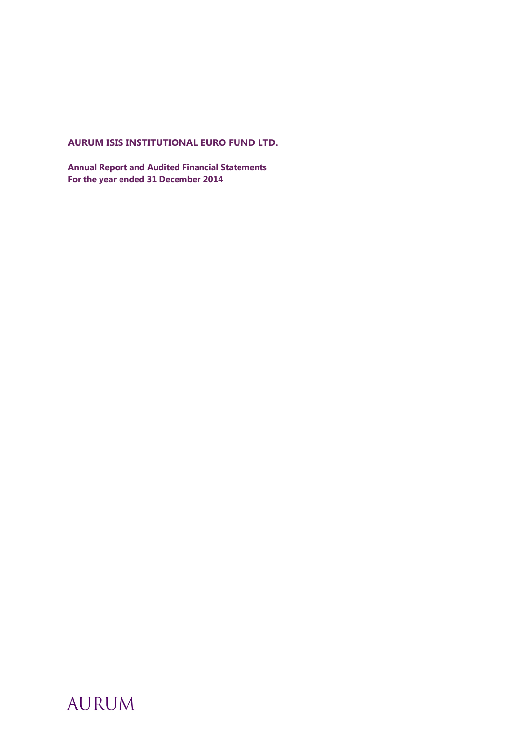# **AURUM ISIS INSTITUTIONAL EURO FUND LTD.**

**Annual Report and Audited Financial Statements For the year ended 31 December 2014**

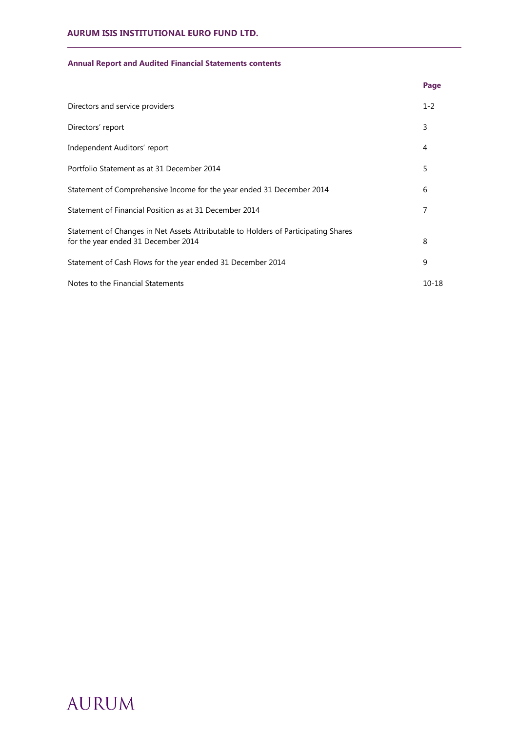# **Annual Report and Audited Financial Statements contents**

|                                                                                                                           | Page      |
|---------------------------------------------------------------------------------------------------------------------------|-----------|
| Directors and service providers                                                                                           | $1 - 2$   |
| Directors' report                                                                                                         | 3         |
| Independent Auditors' report                                                                                              | 4         |
| Portfolio Statement as at 31 December 2014                                                                                | 5         |
| Statement of Comprehensive Income for the year ended 31 December 2014                                                     | 6         |
| Statement of Financial Position as at 31 December 2014                                                                    |           |
| Statement of Changes in Net Assets Attributable to Holders of Participating Shares<br>for the year ended 31 December 2014 | 8         |
| Statement of Cash Flows for the year ended 31 December 2014                                                               | 9         |
| Notes to the Financial Statements                                                                                         | $10 - 18$ |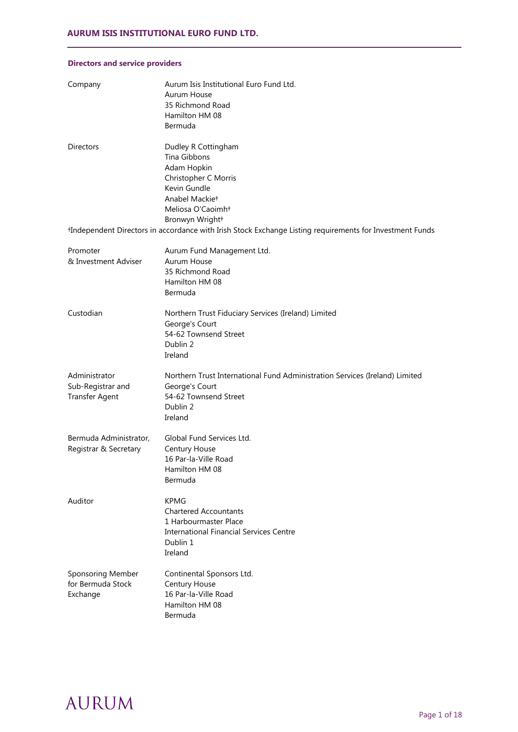| Company                                                     | Aurum Isis Institutional Euro Fund Ltd.<br>Aurum House<br>35 Richmond Road<br>Hamilton HM 08<br>Bermuda                                              |
|-------------------------------------------------------------|------------------------------------------------------------------------------------------------------------------------------------------------------|
| Directors                                                   | Dudley R Cottingham<br>Tina Gibbons<br>Adam Hopkin<br>Christopher C Morris<br>Kevin Gundle<br>Anabel Mackiet<br>Meliosa O'Caoimht<br>Bronwyn Wright+ |
|                                                             | *Independent Directors in accordance with Irish Stock Exchange Listing requirements for Investment Funds                                             |
| Promoter<br>& Investment Adviser                            | Aurum Fund Management Ltd.<br>Aurum House<br>35 Richmond Road<br>Hamilton HM 08<br>Bermuda                                                           |
| Custodian                                                   | Northern Trust Fiduciary Services (Ireland) Limited<br>George's Court<br>54-62 Townsend Street<br>Dublin 2<br>Ireland                                |
| Administrator<br>Sub-Registrar and<br><b>Transfer Agent</b> | Northern Trust International Fund Administration Services (Ireland) Limited<br>George's Court<br>54-62 Townsend Street<br>Dublin 2<br>Ireland        |
| Bermuda Administrator,<br>Registrar & Secretary             | Global Fund Services Ltd.<br>Century House<br>16 Par-la-Ville Road<br>Hamilton HM 08<br>Bermuda                                                      |
| Auditor                                                     | <b>KPMG</b><br><b>Chartered Accountants</b><br>1 Harbourmaster Place<br>International Financial Services Centre<br>Dublin 1<br>Ireland               |
| Sponsoring Member<br>for Bermuda Stock<br>Exchange          | Continental Sponsors Ltd.<br>Century House<br>16 Par-la-Ville Road<br>Hamilton HM 08<br>Bermuda                                                      |

# **Directors and service providers**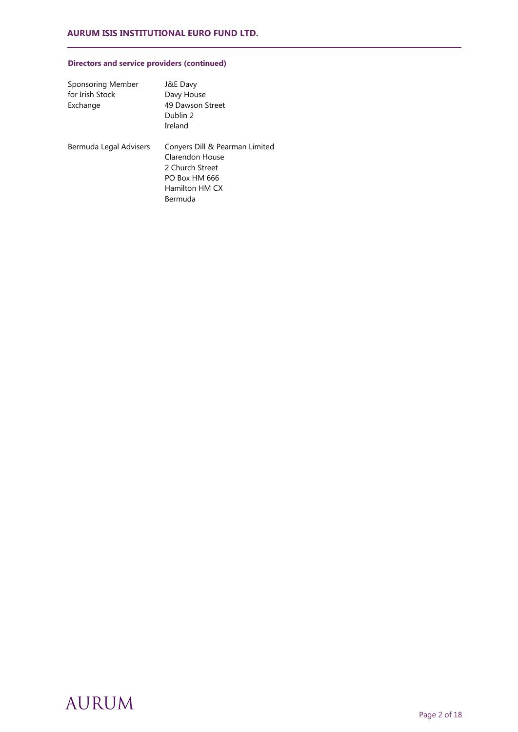# **Directors and service providers (continued)**

| Sponsoring Member<br>for Irish Stock<br>Exchange | J&E Davy<br>Davy House<br>49 Dawson Street<br>Dublin 2<br>Ireland                                                  |
|--------------------------------------------------|--------------------------------------------------------------------------------------------------------------------|
| Bermuda Legal Advisers                           | Conyers Dill & Pearman Limited<br>Clarendon House<br>2 Church Street<br>PO Box HM 666<br>Hamilton HM CX<br>Bermuda |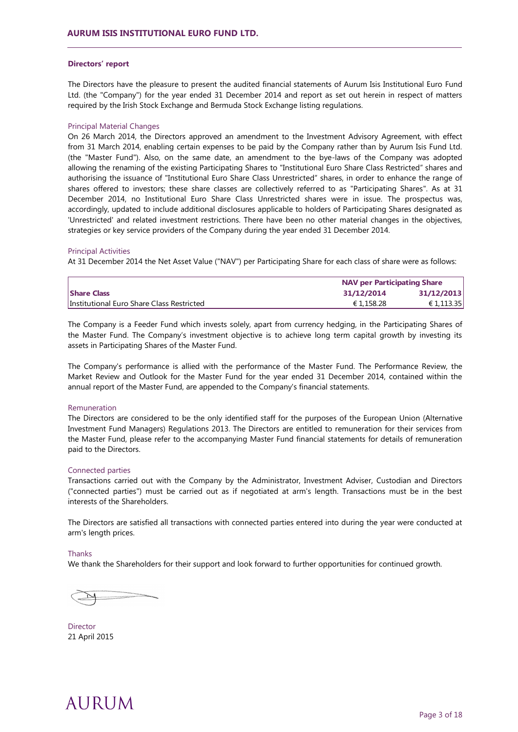#### **Directors' report**

The Directors have the pleasure to present the audited financial statements of Aurum Isis Institutional Euro Fund Ltd. (the "Company") for the year ended 31 December 2014 and report as set out herein in respect of matters required by the Irish Stock Exchange and Bermuda Stock Exchange listing regulations.

#### Principal Material Changes

On 26 March 2014, the Directors approved an amendment to the Investment Advisory Agreement, with effect from 31 March 2014, enabling certain expenses to be paid by the Company rather than by Aurum Isis Fund Ltd. (the "Master Fund"). Also, on the same date, an amendment to the bye-laws of the Company was adopted allowing the renaming of the existing Participating Shares to "Institutional Euro Share Class Restricted" shares and authorising the issuance of "Institutional Euro Share Class Unrestricted" shares, in order to enhance the range of shares offered to investors; these share classes are collectively referred to as "Participating Shares". As at 31 December 2014, no Institutional Euro Share Class Unrestricted shares were in issue. The prospectus was, accordingly, updated to include additional disclosures applicable to holders of Participating Shares designated as 'Unrestricted' and related investment restrictions. There have been no other material changes in the objectives, strategies or key service providers of the Company during the year ended 31 December 2014.

#### Principal Activities

At 31 December 2014 the Net Asset Value ("NAV") per Participating Share for each class of share were as follows:

|                                           | <b>NAV per Participating Share</b> |            |
|-------------------------------------------|------------------------------------|------------|
| <b>Share Class</b>                        | 31/12/2014                         | 31/12/2013 |
| Institutional Euro Share Class Restricted | € 1.158.28                         | € 1,113.35 |

The Company is a Feeder Fund which invests solely, apart from currency hedging, in the Participating Shares of the Master Fund. The Company's investment objective is to achieve long term capital growth by investing its assets in Participating Shares of the Master Fund.

The Company's performance is allied with the performance of the Master Fund. The Performance Review, the Market Review and Outlook for the Master Fund for the year ended 31 December 2014, contained within the annual report of the Master Fund, are appended to the Company's financial statements.

#### Remuneration

The Directors are considered to be the only identified staff for the purposes of the European Union (Alternative Investment Fund Managers) Regulations 2013. The Directors are entitled to remuneration for their services from the Master Fund, please refer to the accompanying Master Fund financial statements for details of remuneration paid to the Directors.

#### Connected parties

Transactions carried out with the Company by the Administrator, Investment Adviser, Custodian and Directors ("connected parties") must be carried out as if negotiated at arm's length. Transactions must be in the best interests of the Shareholders.

The Directors are satisfied all transactions with connected parties entered into during the year were conducted at arm's length prices.

#### **Thanks**

We thank the Shareholders for their support and look forward to further opportunities for continued growth.

**Director** 21 April 2015

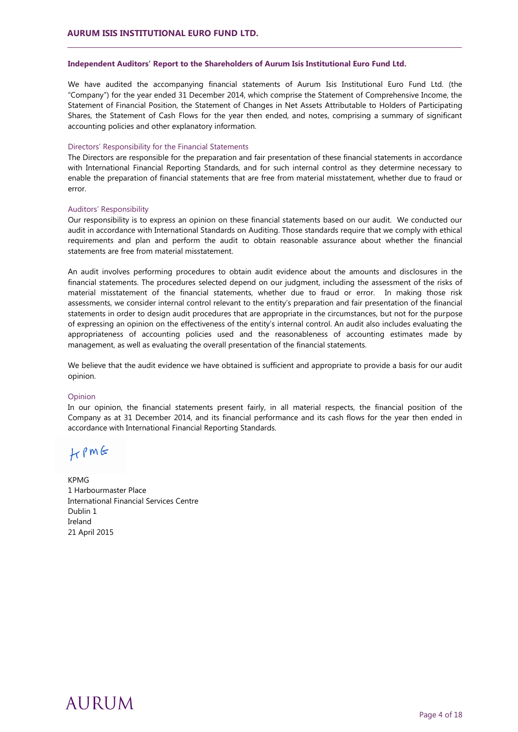# **Independent Auditors' Report to the Shareholders of Aurum Isis Institutional Euro Fund Ltd.**

We have audited the accompanying financial statements of Aurum Isis Institutional Euro Fund Ltd. (the "Company") for the year ended 31 December 2014, which comprise the Statement of Comprehensive Income, the Statement of Financial Position, the Statement of Changes in Net Assets Attributable to Holders of Participating Shares, the Statement of Cash Flows for the year then ended, and notes, comprising a summary of significant accounting policies and other explanatory information.

#### Directors' Responsibility for the Financial Statements

The Directors are responsible for the preparation and fair presentation of these financial statements in accordance with International Financial Reporting Standards, and for such internal control as they determine necessary to enable the preparation of financial statements that are free from material misstatement, whether due to fraud or error.

#### Auditors' Responsibility

Our responsibility is to express an opinion on these financial statements based on our audit. We conducted our audit in accordance with International Standards on Auditing. Those standards require that we comply with ethical requirements and plan and perform the audit to obtain reasonable assurance about whether the financial statements are free from material misstatement.

An audit involves performing procedures to obtain audit evidence about the amounts and disclosures in the financial statements. The procedures selected depend on our judgment, including the assessment of the risks of material misstatement of the financial statements, whether due to fraud or error. In making those risk assessments, we consider internal control relevant to the entity's preparation and fair presentation of the financial statements in order to design audit procedures that are appropriate in the circumstances, but not for the purpose of expressing an opinion on the effectiveness of the entity's internal control. An audit also includes evaluating the appropriateness of accounting policies used and the reasonableness of accounting estimates made by management, as well as evaluating the overall presentation of the financial statements.

We believe that the audit evidence we have obtained is sufficient and appropriate to provide a basis for our audit opinion.

# **Opinion**

In our opinion, the financial statements present fairly, in all material respects, the financial position of the Company as at 31 December 2014, and its financial performance and its cash flows for the year then ended in accordance with International Financial Reporting Standards.

 $H$   $\rho$  m  $\epsilon$ 

KPMG 1 Harbourmaster Place International Financial Services Centre Dublin 1 Ireland 21 April 2015

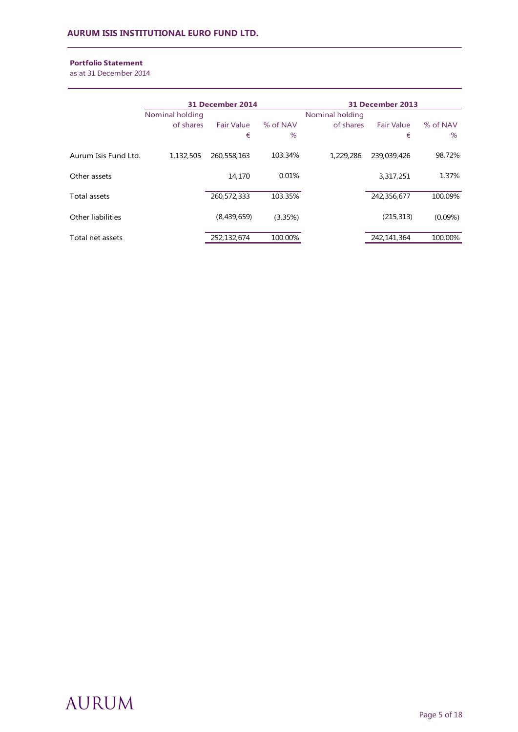# **Portfolio Statement**

as at 31 December 2014

|                      |                 | 31 December 2014  |          |                 | 31 December 2013  |            |
|----------------------|-----------------|-------------------|----------|-----------------|-------------------|------------|
|                      | Nominal holding |                   |          | Nominal holding |                   |            |
|                      | of shares       | <b>Fair Value</b> | % of NAV | of shares       | <b>Fair Value</b> | % of NAV   |
|                      |                 | €                 | $\%$     |                 | €                 | $\%$       |
| Aurum Isis Fund Ltd. | 1,132,505       | 260, 558, 163     | 103.34%  | 1,229,286       | 239,039,426       | 98.72%     |
| Other assets         |                 | 14.170            | 0.01%    |                 | 3,317,251         | 1.37%      |
| <b>Total assets</b>  |                 | 260, 572, 333     | 103.35%  |                 | 242,356,677       | 100.09%    |
| Other liabilities    |                 | (8,439,659)       | (3.35%)  |                 | (215, 313)        | $(0.09\%)$ |
| Total net assets     |                 | 252.132.674       | 100.00%  |                 | 242, 141, 364     | 100.00%    |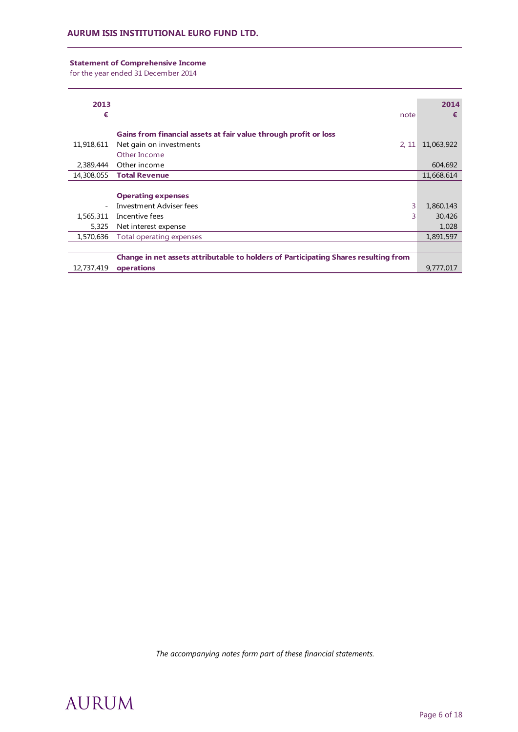# **Statement of Comprehensive Income**

for the year ended 31 December 2014

| 2013       |                                                                                     | 2014       |
|------------|-------------------------------------------------------------------------------------|------------|
| €          | note                                                                                | €          |
|            |                                                                                     |            |
|            | Gains from financial assets at fair value through profit or loss                    |            |
| 11,918,611 | 2, 11<br>Net gain on investments                                                    | 11,063,922 |
|            | Other Income                                                                        |            |
| 2,389,444  | Other income                                                                        | 604,692    |
| 14,308,055 | <b>Total Revenue</b>                                                                | 11,668,614 |
|            |                                                                                     |            |
|            | <b>Operating expenses</b>                                                           |            |
| $\bar{a}$  | Investment Adviser fees<br>3                                                        | 1,860,143  |
| 1,565,311  | 3<br>Incentive fees                                                                 | 30,426     |
| 5,325      | Net interest expense                                                                | 1,028      |
| 1,570,636  | Total operating expenses                                                            | 1,891,597  |
|            |                                                                                     |            |
|            | Change in net assets attributable to holders of Participating Shares resulting from |            |
| 12,737,419 | operations                                                                          | 9,777,017  |

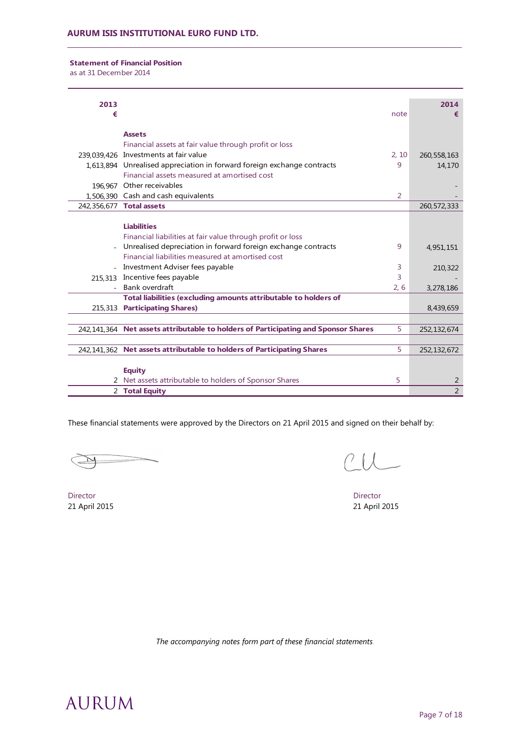**Statement of Financial Position**

as at 31 December 2014

| 2013          |                                                                                    |       | 2014           |
|---------------|------------------------------------------------------------------------------------|-------|----------------|
| €             |                                                                                    | note  | €              |
|               |                                                                                    |       |                |
|               | <b>Assets</b>                                                                      |       |                |
|               | Financial assets at fair value through profit or loss                              |       |                |
|               | 239,039,426 Investments at fair value                                              | 2, 10 | 260, 558, 163  |
|               | 1,613,894 Unrealised appreciation in forward foreign exchange contracts            | 9     | 14,170         |
|               | Financial assets measured at amortised cost                                        |       |                |
|               | 196,967 Other receivables                                                          |       |                |
|               | 1,506,390 Cash and cash equivalents                                                | 2     |                |
|               | 242,356,677 Total assets                                                           |       | 260, 572, 333  |
|               |                                                                                    |       |                |
|               | <b>Liabilities</b>                                                                 |       |                |
|               | Financial liabilities at fair value through profit or loss                         |       |                |
|               | Unrealised depreciation in forward foreign exchange contracts                      | 9     | 4,951,151      |
|               | Financial liabilities measured at amortised cost                                   |       |                |
|               | - Investment Adviser fees payable                                                  | 3     | 210,322        |
|               | 215.313 Incentive fees payable                                                     | 3     |                |
|               | Bank overdraft                                                                     | 2, 6  | 3,278,186      |
|               | Total liabilities (excluding amounts attributable to holders of                    |       |                |
|               | 215,313 Participating Shares)                                                      |       | 8,439,659      |
|               |                                                                                    |       |                |
|               | 242,141,364 Net assets attributable to holders of Participating and Sponsor Shares | 5     | 252, 132, 674  |
|               |                                                                                    |       |                |
| 242, 141, 362 | Net assets attributable to holders of Participating Shares                         | 5     | 252, 132, 672  |
|               |                                                                                    |       |                |
|               | <b>Equity</b>                                                                      |       |                |
|               | 2 Net assets attributable to holders of Sponsor Shares                             | 5     | 2              |
|               | 2 Total Equity                                                                     |       | $\overline{2}$ |

These financial statements were approved by the Directors on 21 April 2015 and signed on their behalf by:

O,

Director Director 21 April 2015 21 April 2015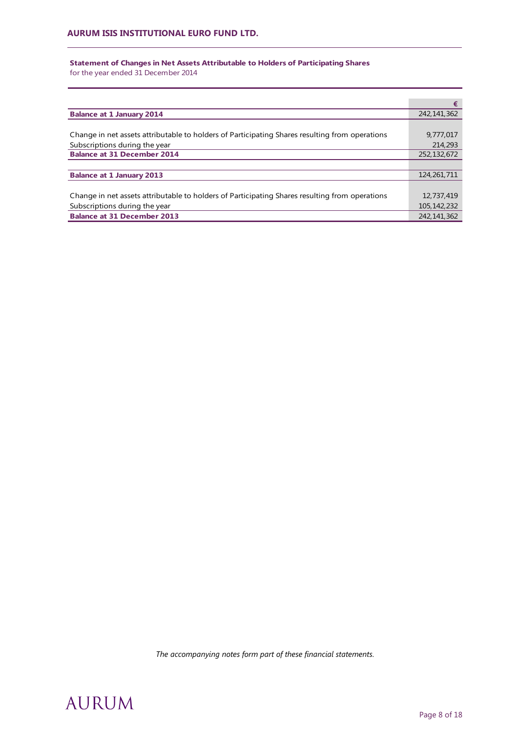**Statement of Changes in Net Assets Attributable to Holders of Participating Shares**

for the year ended 31 December 2014

|                                                                                                | €             |
|------------------------------------------------------------------------------------------------|---------------|
| <b>Balance at 1 January 2014</b>                                                               | 242, 141, 362 |
|                                                                                                |               |
| Change in net assets attributable to holders of Participating Shares resulting from operations | 9,777,017     |
| Subscriptions during the year                                                                  | 214,293       |
| <b>Balance at 31 December 2014</b>                                                             | 252,132,672   |
|                                                                                                |               |
| <b>Balance at 1 January 2013</b>                                                               | 124, 261, 711 |
|                                                                                                |               |
| Change in net assets attributable to holders of Participating Shares resulting from operations | 12,737,419    |
| Subscriptions during the year                                                                  | 105, 142, 232 |
| <b>Balance at 31 December 2013</b>                                                             | 242.141.362   |

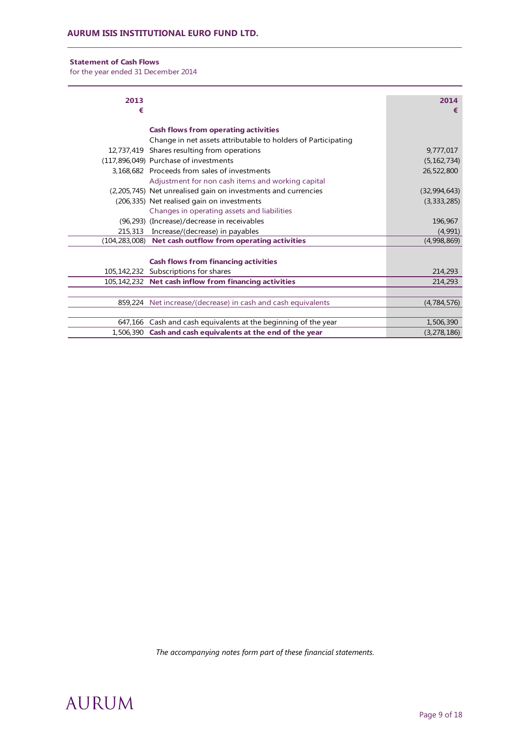# **Statement of Cash Flows**

for the year ended 31 December 2014

| 2013<br>€       |                                                                | 2014<br>€      |
|-----------------|----------------------------------------------------------------|----------------|
|                 | <b>Cash flows from operating activities</b>                    |                |
|                 | Change in net assets attributable to holders of Participating  |                |
|                 | 12,737,419 Shares resulting from operations                    | 9,777,017      |
|                 | (117,896,049) Purchase of investments                          | (5, 162, 734)  |
|                 | 3,168,682 Proceeds from sales of investments                   | 26,522,800     |
|                 | Adjustment for non cash items and working capital              |                |
|                 | (2,205,745) Net unrealised gain on investments and currencies  | (32, 994, 643) |
|                 | (206,335) Net realised gain on investments                     | (3, 333, 285)  |
|                 | Changes in operating assets and liabilities                    |                |
|                 | (96,293) (Increase)/decrease in receivables                    | 196,967        |
| 215,313         | Increase/(decrease) in payables                                | (4,991)        |
| (104, 283, 008) | Net cash outflow from operating activities                     | (4,998,869)    |
|                 | <b>Cash flows from financing activities</b>                    |                |
|                 | 105,142,232 Subscriptions for shares                           | 214,293        |
|                 | 105,142,232 Net cash inflow from financing activities          | 214,293        |
|                 |                                                                |                |
|                 | 859,224 Net increase/(decrease) in cash and cash equivalents   | (4,784,576)    |
|                 |                                                                |                |
|                 | 647,166 Cash and cash equivalents at the beginning of the year | 1,506,390      |
|                 | 1,506,390 Cash and cash equivalents at the end of the year     | (3, 278, 186)  |

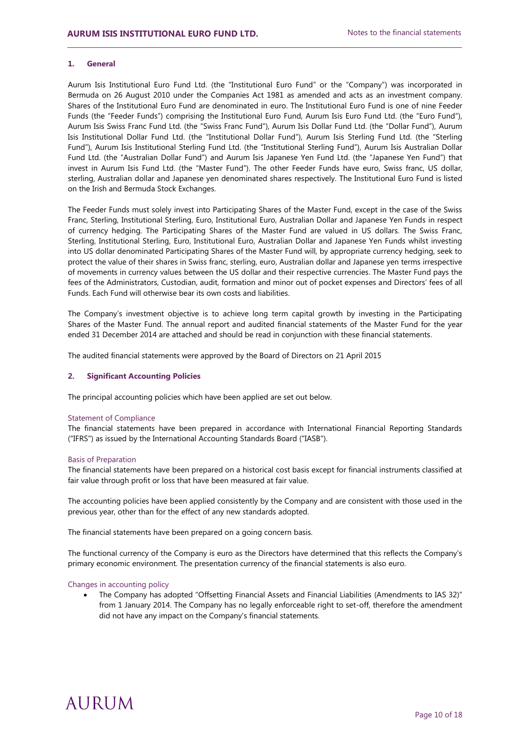#### **1. General**

Aurum Isis Institutional Euro Fund Ltd. (the "Institutional Euro Fund" or the "Company") was incorporated in Bermuda on 26 August 2010 under the Companies Act 1981 as amended and acts as an investment company. Shares of the Institutional Euro Fund are denominated in euro. The Institutional Euro Fund is one of nine Feeder Funds (the "Feeder Funds") comprising the Institutional Euro Fund, Aurum Isis Euro Fund Ltd. (the "Euro Fund"), Aurum Isis Swiss Franc Fund Ltd. (the "Swiss Franc Fund"), Aurum Isis Dollar Fund Ltd. (the "Dollar Fund"), Aurum Isis Institutional Dollar Fund Ltd. (the "Institutional Dollar Fund"), Aurum Isis Sterling Fund Ltd. (the "Sterling Fund"), Aurum Isis Institutional Sterling Fund Ltd. (the "Institutional Sterling Fund"), Aurum Isis Australian Dollar Fund Ltd. (the "Australian Dollar Fund") and Aurum Isis Japanese Yen Fund Ltd. (the "Japanese Yen Fund") that invest in Aurum Isis Fund Ltd. (the "Master Fund"). The other Feeder Funds have euro, Swiss franc, US dollar, sterling, Australian dollar and Japanese yen denominated shares respectively. The Institutional Euro Fund is listed on the Irish and Bermuda Stock Exchanges.

The Feeder Funds must solely invest into Participating Shares of the Master Fund, except in the case of the Swiss Franc, Sterling, Institutional Sterling, Euro, Institutional Euro, Australian Dollar and Japanese Yen Funds in respect of currency hedging. The Participating Shares of the Master Fund are valued in US dollars. The Swiss Franc, Sterling, Institutional Sterling, Euro, Institutional Euro, Australian Dollar and Japanese Yen Funds whilst investing into US dollar denominated Participating Shares of the Master Fund will, by appropriate currency hedging, seek to protect the value of their shares in Swiss franc, sterling, euro, Australian dollar and Japanese yen terms irrespective of movements in currency values between the US dollar and their respective currencies. The Master Fund pays the fees of the Administrators, Custodian, audit, formation and minor out of pocket expenses and Directors' fees of all Funds. Each Fund will otherwise bear its own costs and liabilities.

The Company's investment objective is to achieve long term capital growth by investing in the Participating Shares of the Master Fund. The annual report and audited financial statements of the Master Fund for the year ended 31 December 2014 are attached and should be read in conjunction with these financial statements.

The audited financial statements were approved by the Board of Directors on 21 April 2015

#### **2. Significant Accounting Policies**

The principal accounting policies which have been applied are set out below.

#### Statement of Compliance

The financial statements have been prepared in accordance with International Financial Reporting Standards ("IFRS") as issued by the International Accounting Standards Board ("IASB").

#### Basis of Preparation

The financial statements have been prepared on a historical cost basis except for financial instruments classified at fair value through profit or loss that have been measured at fair value.

The accounting policies have been applied consistently by the Company and are consistent with those used in the previous year, other than for the effect of any new standards adopted.

The financial statements have been prepared on a going concern basis.

The functional currency of the Company is euro as the Directors have determined that this reflects the Company's primary economic environment. The presentation currency of the financial statements is also euro.

#### Changes in accounting policy

 The Company has adopted "Offsetting Financial Assets and Financial Liabilities (Amendments to IAS 32)" from 1 January 2014. The Company has no legally enforceable right to set-off, therefore the amendment did not have any impact on the Company's financial statements.

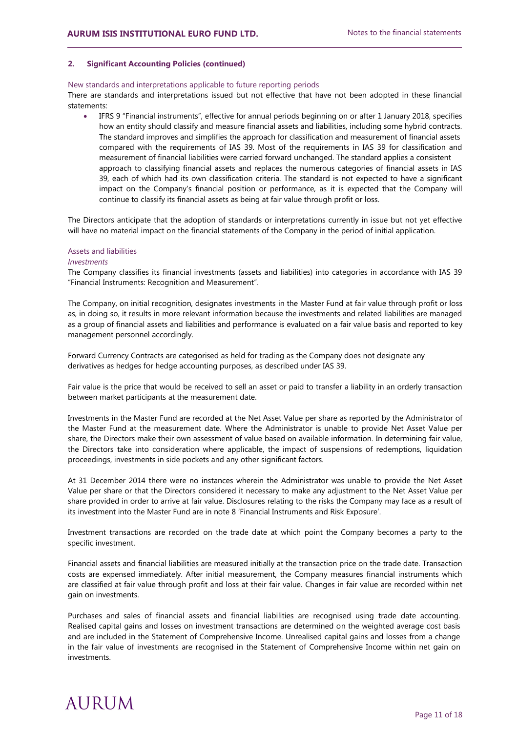# **2. Significant Accounting Policies (continued)**

## New standards and interpretations applicable to future reporting periods

There are standards and interpretations issued but not effective that have not been adopted in these financial statements:

 IFRS 9 "Financial instruments", effective for annual periods beginning on or after 1 January 2018, specifies how an entity should classify and measure financial assets and liabilities, including some hybrid contracts. The standard improves and simplifies the approach for classification and measurement of financial assets compared with the requirements of IAS 39. Most of the requirements in IAS 39 for classification and measurement of financial liabilities were carried forward unchanged. The standard applies a consistent approach to classifying financial assets and replaces the numerous categories of financial assets in IAS 39, each of which had its own classification criteria. The standard is not expected to have a significant impact on the Company's financial position or performance, as it is expected that the Company will continue to classify its financial assets as being at fair value through profit or loss.

The Directors anticipate that the adoption of standards or interpretations currently in issue but not yet effective will have no material impact on the financial statements of the Company in the period of initial application.

# Assets and liabilities

#### *Investments*

The Company classifies its financial investments (assets and liabilities) into categories in accordance with IAS 39 "Financial Instruments: Recognition and Measurement".

The Company, on initial recognition, designates investments in the Master Fund at fair value through profit or loss as, in doing so, it results in more relevant information because the investments and related liabilities are managed as a group of financial assets and liabilities and performance is evaluated on a fair value basis and reported to key management personnel accordingly.

Forward Currency Contracts are categorised as held for trading as the Company does not designate any derivatives as hedges for hedge accounting purposes, as described under IAS 39.

Fair value is the price that would be received to sell an asset or paid to transfer a liability in an orderly transaction between market participants at the measurement date.

Investments in the Master Fund are recorded at the Net Asset Value per share as reported by the Administrator of the Master Fund at the measurement date. Where the Administrator is unable to provide Net Asset Value per share, the Directors make their own assessment of value based on available information. In determining fair value, the Directors take into consideration where applicable, the impact of suspensions of redemptions, liquidation proceedings, investments in side pockets and any other significant factors.

At 31 December 2014 there were no instances wherein the Administrator was unable to provide the Net Asset Value per share or that the Directors considered it necessary to make any adjustment to the Net Asset Value per share provided in order to arrive at fair value. Disclosures relating to the risks the Company may face as a result of its investment into the Master Fund are in note 8 'Financial Instruments and Risk Exposure'.

Investment transactions are recorded on the trade date at which point the Company becomes a party to the specific investment.

Financial assets and financial liabilities are measured initially at the transaction price on the trade date. Transaction costs are expensed immediately. After initial measurement, the Company measures financial instruments which are classified at fair value through profit and loss at their fair value. Changes in fair value are recorded within net gain on investments.

Purchases and sales of financial assets and financial liabilities are recognised using trade date accounting. Realised capital gains and losses on investment transactions are determined on the weighted average cost basis and are included in the Statement of Comprehensive Income. Unrealised capital gains and losses from a change in the fair value of investments are recognised in the Statement of Comprehensive Income within net gain on investments.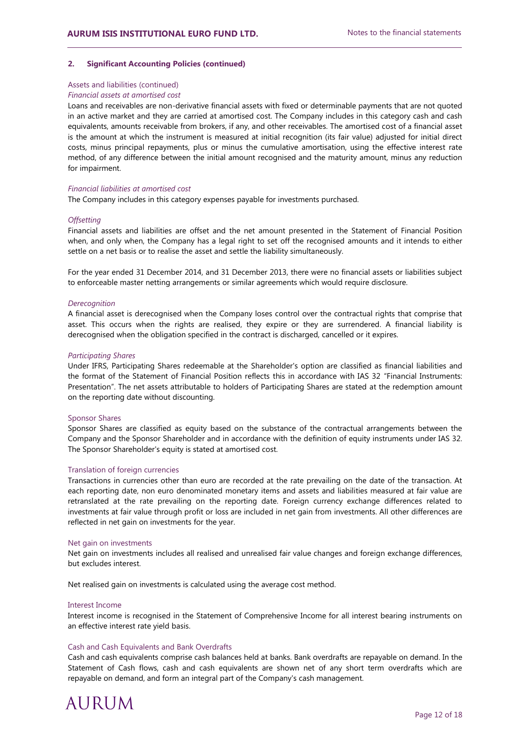#### **2. Significant Accounting Policies (continued)**

# Assets and liabilities (continued)

# *Financial assets at amortised cost*

Loans and receivables are non-derivative financial assets with fixed or determinable payments that are not quoted in an active market and they are carried at amortised cost. The Company includes in this category cash and cash equivalents, amounts receivable from brokers, if any, and other receivables. The amortised cost of a financial asset is the amount at which the instrument is measured at initial recognition (its fair value) adjusted for initial direct costs, minus principal repayments, plus or minus the cumulative amortisation, using the effective interest rate method, of any difference between the initial amount recognised and the maturity amount, minus any reduction for impairment.

#### *Financial liabilities at amortised cost*

The Company includes in this category expenses payable for investments purchased.

#### *Offsetting*

Financial assets and liabilities are offset and the net amount presented in the Statement of Financial Position when, and only when, the Company has a legal right to set off the recognised amounts and it intends to either settle on a net basis or to realise the asset and settle the liability simultaneously.

For the year ended 31 December 2014, and 31 December 2013, there were no financial assets or liabilities subject to enforceable master netting arrangements or similar agreements which would require disclosure.

#### *Derecognition*

A financial asset is derecognised when the Company loses control over the contractual rights that comprise that asset. This occurs when the rights are realised, they expire or they are surrendered. A financial liability is derecognised when the obligation specified in the contract is discharged, cancelled or it expires.

#### *Participating Shares*

Under IFRS, Participating Shares redeemable at the Shareholder's option are classified as financial liabilities and the format of the Statement of Financial Position reflects this in accordance with IAS 32 "Financial Instruments: Presentation". The net assets attributable to holders of Participating Shares are stated at the redemption amount on the reporting date without discounting.

#### Sponsor Shares

Sponsor Shares are classified as equity based on the substance of the contractual arrangements between the Company and the Sponsor Shareholder and in accordance with the definition of equity instruments under IAS 32. The Sponsor Shareholder's equity is stated at amortised cost.

#### Translation of foreign currencies

Transactions in currencies other than euro are recorded at the rate prevailing on the date of the transaction. At each reporting date, non euro denominated monetary items and assets and liabilities measured at fair value are retranslated at the rate prevailing on the reporting date. Foreign currency exchange differences related to investments at fair value through profit or loss are included in net gain from investments. All other differences are reflected in net gain on investments for the year.

#### Net gain on investments

Net gain on investments includes all realised and unrealised fair value changes and foreign exchange differences, but excludes interest.

Net realised gain on investments is calculated using the average cost method.

### Interest Income

Interest income is recognised in the Statement of Comprehensive Income for all interest bearing instruments on an effective interest rate yield basis.

#### Cash and Cash Equivalents and Bank Overdrafts

Cash and cash equivalents comprise cash balances held at banks. Bank overdrafts are repayable on demand. In the Statement of Cash flows, cash and cash equivalents are shown net of any short term overdrafts which are repayable on demand, and form an integral part of the Company's cash management.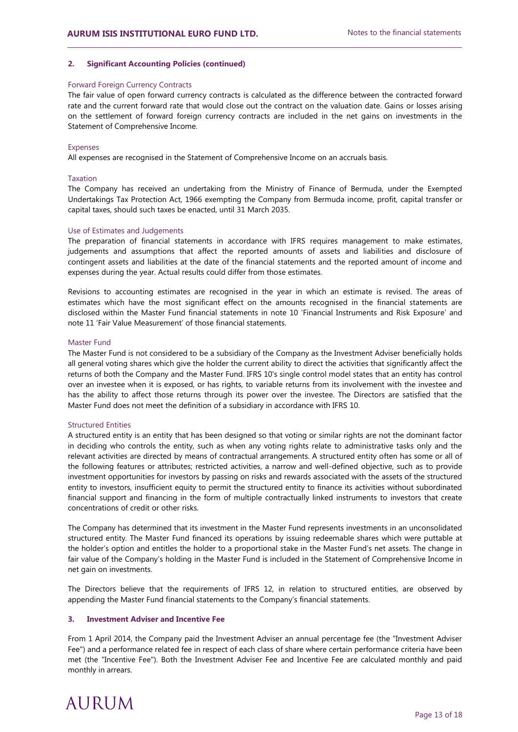# **2. Significant Accounting Policies (continued)**

# Forward Foreign Currency Contracts

The fair value of open forward currency contracts is calculated as the difference between the contracted forward rate and the current forward rate that would close out the contract on the valuation date. Gains or losses arising on the settlement of forward foreign currency contracts are included in the net gains on investments in the Statement of Comprehensive Income.

# Expenses

All expenses are recognised in the Statement of Comprehensive Income on an accruals basis.

# Taxation

The Company has received an undertaking from the Ministry of Finance of Bermuda, under the Exempted Undertakings Tax Protection Act, 1966 exempting the Company from Bermuda income, profit, capital transfer or capital taxes, should such taxes be enacted, until 31 March 2035.

# Use of Estimates and Judgements

The preparation of financial statements in accordance with IFRS requires management to make estimates, judgements and assumptions that affect the reported amounts of assets and liabilities and disclosure of contingent assets and liabilities at the date of the financial statements and the reported amount of income and expenses during the year. Actual results could differ from those estimates.

Revisions to accounting estimates are recognised in the year in which an estimate is revised. The areas of estimates which have the most significant effect on the amounts recognised in the financial statements are disclosed within the Master Fund financial statements in note 10 'Financial Instruments and Risk Exposure' and note 11 'Fair Value Measurement' of those financial statements.

# Master Fund

The Master Fund is not considered to be a subsidiary of the Company as the Investment Adviser beneficially holds all general voting shares which give the holder the current ability to direct the activities that significantly affect the returns of both the Company and the Master Fund. IFRS 10's single control model states that an entity has control over an investee when it is exposed, or has rights, to variable returns from its involvement with the investee and has the ability to affect those returns through its power over the investee. The Directors are satisfied that the Master Fund does not meet the definition of a subsidiary in accordance with IFRS 10.

# Structured Entities

A structured entity is an entity that has been designed so that voting or similar rights are not the dominant factor in deciding who controls the entity, such as when any voting rights relate to administrative tasks only and the relevant activities are directed by means of contractual arrangements. A structured entity often has some or all of the following features or attributes; restricted activities, a narrow and well-defined objective, such as to provide investment opportunities for investors by passing on risks and rewards associated with the assets of the structured entity to investors, insufficient equity to permit the structured entity to finance its activities without subordinated financial support and financing in the form of multiple contractually linked instruments to investors that create concentrations of credit or other risks.

The Company has determined that its investment in the Master Fund represents investments in an unconsolidated structured entity. The Master Fund financed its operations by issuing redeemable shares which were puttable at the holder's option and entitles the holder to a proportional stake in the Master Fund's net assets. The change in fair value of the Company's holding in the Master Fund is included in the Statement of Comprehensive Income in net gain on investments.

The Directors believe that the requirements of IFRS 12, in relation to structured entities, are observed by appending the Master Fund financial statements to the Company's financial statements.

# **3. Investment Adviser and Incentive Fee**

From 1 April 2014, the Company paid the Investment Adviser an annual percentage fee (the "Investment Adviser Fee") and a performance related fee in respect of each class of share where certain performance criteria have been met (the "Incentive Fee"). Both the Investment Adviser Fee and Incentive Fee are calculated monthly and paid monthly in arrears.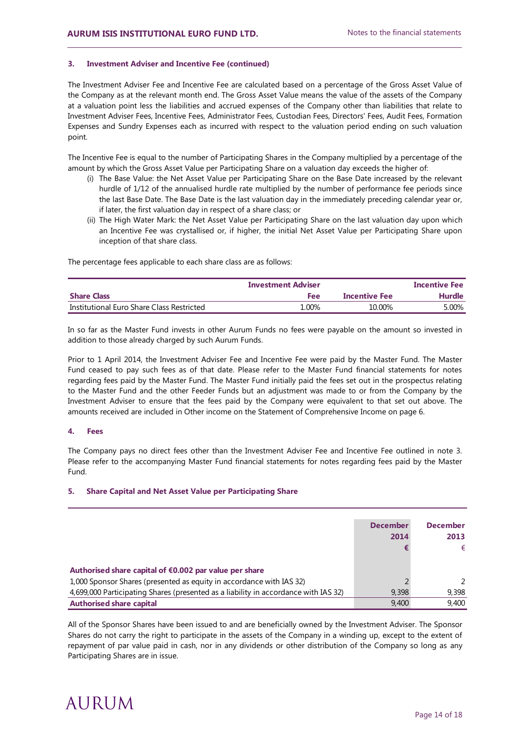# **3. Investment Adviser and Incentive Fee (continued)**

The Investment Adviser Fee and Incentive Fee are calculated based on a percentage of the Gross Asset Value of the Company as at the relevant month end. The Gross Asset Value means the value of the assets of the Company at a valuation point less the liabilities and accrued expenses of the Company other than liabilities that relate to Investment Adviser Fees, Incentive Fees, Administrator Fees, Custodian Fees, Directors' Fees, Audit Fees, Formation Expenses and Sundry Expenses each as incurred with respect to the valuation period ending on such valuation point.

The Incentive Fee is equal to the number of Participating Shares in the Company multiplied by a percentage of the amount by which the Gross Asset Value per Participating Share on a valuation day exceeds the higher of:

- (i) The Base Value: the Net Asset Value per Participating Share on the Base Date increased by the relevant hurdle of 1/12 of the annualised hurdle rate multiplied by the number of performance fee periods since the last Base Date. The Base Date is the last valuation day in the immediately preceding calendar year or, if later, the first valuation day in respect of a share class; or
- (ii) The High Water Mark: the Net Asset Value per Participating Share on the last valuation day upon which an Incentive Fee was crystallised or, if higher, the initial Net Asset Value per Participating Share upon inception of that share class.

The percentage fees applicable to each share class are as follows:

|                                           | <b>Investment Adviser</b> |               | <b>Incentive Fee</b> |
|-------------------------------------------|---------------------------|---------------|----------------------|
| <b>Share Class</b>                        | Fee                       | Incentive Fee | Hurdle               |
| Institutional Euro Share Class Restricted | 1.00%                     | 10.00%        | 5.00%                |

In so far as the Master Fund invests in other Aurum Funds no fees were payable on the amount so invested in addition to those already charged by such Aurum Funds.

Prior to 1 April 2014, the Investment Adviser Fee and Incentive Fee were paid by the Master Fund. The Master Fund ceased to pay such fees as of that date. Please refer to the Master Fund financial statements for notes regarding fees paid by the Master Fund. The Master Fund initially paid the fees set out in the prospectus relating to the Master Fund and the other Feeder Funds but an adjustment was made to or from the Company by the Investment Adviser to ensure that the fees paid by the Company were equivalent to that set out above. The amounts received are included in Other income on the Statement of Comprehensive Income on page 6.

#### **4. Fees**

The Company pays no direct fees other than the Investment Adviser Fee and Incentive Fee outlined in note 3. Please refer to the accompanying Master Fund financial statements for notes regarding fees paid by the Master Fund.

# **5. Share Capital and Net Asset Value per Participating Share**

|                                                                                     | <b>December</b> | <b>December</b> |
|-------------------------------------------------------------------------------------|-----------------|-----------------|
|                                                                                     | 2014            | 2013            |
|                                                                                     |                 | €               |
|                                                                                     |                 |                 |
| Authorised share capital of €0.002 par value per share                              |                 |                 |
| 1,000 Sponsor Shares (presented as equity in accordance with IAS 32)                |                 |                 |
| 4,699,000 Participating Shares (presented as a liability in accordance with IAS 32) | 9,398           | 9,398           |
| <b>Authorised share capital</b>                                                     | 9,400           | 9,400           |

All of the Sponsor Shares have been issued to and are beneficially owned by the Investment Adviser. The Sponsor Shares do not carry the right to participate in the assets of the Company in a winding up, except to the extent of repayment of par value paid in cash, nor in any dividends or other distribution of the Company so long as any Participating Shares are in issue.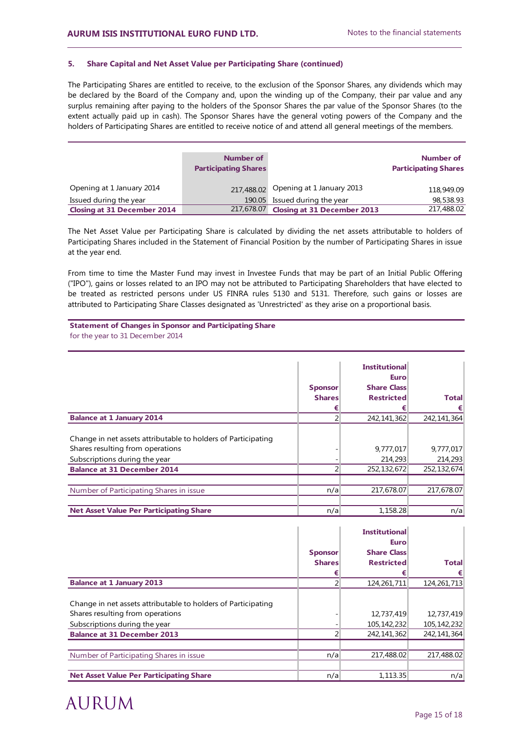# **5. Share Capital and Net Asset Value per Participating Share (continued)**

The Participating Shares are entitled to receive, to the exclusion of the Sponsor Shares, any dividends which may be declared by the Board of the Company and, upon the winding up of the Company, their par value and any surplus remaining after paying to the holders of the Sponsor Shares the par value of the Sponsor Shares (to the extent actually paid up in cash). The Sponsor Shares have the general voting powers of the Company and the holders of Participating Shares are entitled to receive notice of and attend all general meetings of the members.

|                                    | Number of<br><b>Participating Shares</b> |                                        | Number of<br><b>Participating Shares</b> |
|------------------------------------|------------------------------------------|----------------------------------------|------------------------------------------|
| Opening at 1 January 2014          |                                          | 217,488.02 Opening at 1 January 2013   | 118,949.09                               |
| Issued during the year             |                                          | 190.05 Issued during the year          | 98,538.93                                |
| <b>Closing at 31 December 2014</b> |                                          | 217,678.07 Closing at 31 December 2013 | 217,488.02                               |

The Net Asset Value per Participating Share is calculated by dividing the net assets attributable to holders of Participating Shares included in the Statement of Financial Position by the number of Participating Shares in issue at the year end.

From time to time the Master Fund may invest in Investee Funds that may be part of an Initial Public Offering ("IPO"), gains or losses related to an IPO may not be attributed to Participating Shareholders that have elected to be treated as restricted persons under US FINRA rules 5130 and 5131. Therefore, such gains or losses are attributed to Participating Share Classes designated as 'Unrestricted' as they arise on a proportional basis.

## **Statement of Changes in Sponsor and Participating Share** for the year to 31 December 2014

|                                                                                                                                    | <b>Sponsor</b><br><b>Shares</b><br>€ | <b>Institutional</b><br>Euro<br><b>Share Class</b><br><b>Restricted</b> | <b>Total</b>         |
|------------------------------------------------------------------------------------------------------------------------------------|--------------------------------------|-------------------------------------------------------------------------|----------------------|
| <b>Balance at 1 January 2014</b>                                                                                                   | 2                                    | 242, 141, 362                                                           | 242.141.364          |
| Change in net assets attributable to holders of Participating<br>Shares resulting from operations<br>Subscriptions during the year |                                      | 9,777,017<br>214,293                                                    | 9,777,017<br>214,293 |
| <b>Balance at 31 December 2014</b>                                                                                                 |                                      | 252,132,672                                                             | 252,132,674          |
| Number of Participating Shares in issue                                                                                            | n/a                                  | 217,678.07                                                              | 217,678.07           |
| <b>Net Asset Value Per Participating Share</b>                                                                                     | n/a                                  | 1.158.28                                                                | n/a                  |

|                                                               |                | <b>Institutional</b> | Euro          |  |
|---------------------------------------------------------------|----------------|----------------------|---------------|--|
|                                                               | <b>Sponsor</b> | <b>Share Class</b>   |               |  |
|                                                               | <b>Shares</b>  | <b>Restricted</b>    | <b>Total</b>  |  |
|                                                               | €              |                      | €             |  |
| <b>Balance at 1 January 2013</b>                              | 2              | 124, 261, 711        | 124, 261, 713 |  |
|                                                               |                |                      |               |  |
| Change in net assets attributable to holders of Participating |                |                      |               |  |
| Shares resulting from operations                              |                | 12,737,419           | 12,737,419    |  |
| Subscriptions during the year                                 |                | 105,142,232          | 105, 142, 232 |  |
| <b>Balance at 31 December 2013</b>                            | ∍              | 242, 141, 362        | 242, 141, 364 |  |
|                                                               |                |                      |               |  |
| Number of Participating Shares in issue                       | n/a            | 217,488.02           | 217,488.02    |  |
|                                                               |                |                      |               |  |
| <b>Net Asset Value Per Participating Share</b>                | n/a            | 1,113.35             | n/a           |  |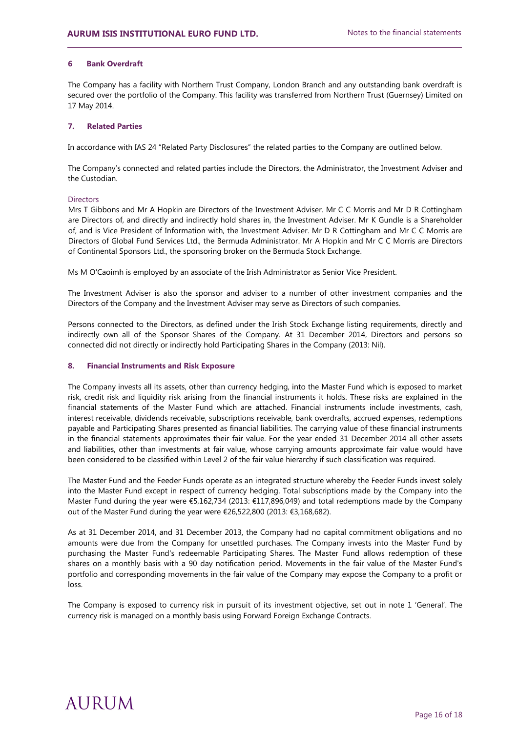# **6 Bank Overdraft**

The Company has a facility with Northern Trust Company, London Branch and any outstanding bank overdraft is secured over the portfolio of the Company. This facility was transferred from Northern Trust (Guernsey) Limited on 17 May 2014.

# **7. Related Parties**

In accordance with IAS 24 "Related Party Disclosures" the related parties to the Company are outlined below.

The Company's connected and related parties include the Directors, the Administrator, the Investment Adviser and the Custodian.

# **Directors**

Mrs T Gibbons and Mr A Hopkin are Directors of the Investment Adviser. Mr C C Morris and Mr D R Cottingham are Directors of, and directly and indirectly hold shares in, the Investment Adviser. Mr K Gundle is a Shareholder of, and is Vice President of Information with, the Investment Adviser. Mr D R Cottingham and Mr C C Morris are Directors of Global Fund Services Ltd., the Bermuda Administrator. Mr A Hopkin and Mr C C Morris are Directors of Continental Sponsors Ltd., the sponsoring broker on the Bermuda Stock Exchange.

Ms M O'Caoimh is employed by an associate of the Irish Administrator as Senior Vice President.

The Investment Adviser is also the sponsor and adviser to a number of other investment companies and the Directors of the Company and the Investment Adviser may serve as Directors of such companies.

Persons connected to the Directors, as defined under the Irish Stock Exchange listing requirements, directly and indirectly own all of the Sponsor Shares of the Company. At 31 December 2014, Directors and persons so connected did not directly or indirectly hold Participating Shares in the Company (2013: Nil).

# **8. Financial Instruments and Risk Exposure**

The Company invests all its assets, other than currency hedging, into the Master Fund which is exposed to market risk, credit risk and liquidity risk arising from the financial instruments it holds. These risks are explained in the financial statements of the Master Fund which are attached. Financial instruments include investments, cash, interest receivable, dividends receivable, subscriptions receivable, bank overdrafts, accrued expenses, redemptions payable and Participating Shares presented as financial liabilities. The carrying value of these financial instruments in the financial statements approximates their fair value. For the year ended 31 December 2014 all other assets and liabilities, other than investments at fair value, whose carrying amounts approximate fair value would have been considered to be classified within Level 2 of the fair value hierarchy if such classification was required.

The Master Fund and the Feeder Funds operate as an integrated structure whereby the Feeder Funds invest solely into the Master Fund except in respect of currency hedging. Total subscriptions made by the Company into the Master Fund during the year were €5,162,734 (2013: €117,896,049) and total redemptions made by the Company out of the Master Fund during the year were €26,522,800 (2013: €3,168,682).

As at 31 December 2014, and 31 December 2013, the Company had no capital commitment obligations and no amounts were due from the Company for unsettled purchases. The Company invests into the Master Fund by purchasing the Master Fund's redeemable Participating Shares. The Master Fund allows redemption of these shares on a monthly basis with a 90 day notification period. Movements in the fair value of the Master Fund's portfolio and corresponding movements in the fair value of the Company may expose the Company to a profit or loss.

The Company is exposed to currency risk in pursuit of its investment objective, set out in note 1 'General'. The currency risk is managed on a monthly basis using Forward Foreign Exchange Contracts.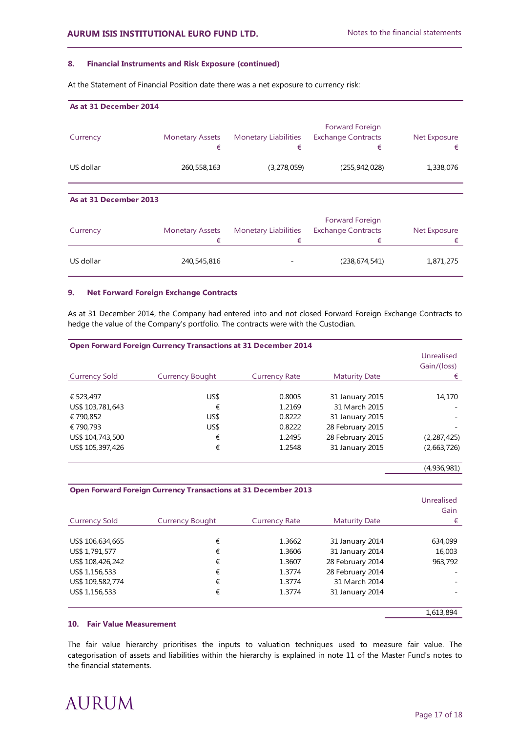# **8. Financial Instruments and Risk Exposure (continued)**

At the Statement of Financial Position date there was a net exposure to currency risk:

| As at 31 December 2014 |                             |                                  |                                                   |                   |
|------------------------|-----------------------------|----------------------------------|---------------------------------------------------|-------------------|
| Currency               | <b>Monetary Assets</b><br>€ | <b>Monetary Liabilities</b><br>€ | Forward Foreign<br><b>Exchange Contracts</b><br>€ | Net Exposure<br>€ |
| US dollar              | 260, 558, 163               | (3,278,059)                      | (255, 942, 028)                                   | 1,338,076         |
| As at 31 December 2013 |                             |                                  |                                                   |                   |
|                        |                             |                                  | Forward Foreign                                   |                   |

| Currency  | <b>Monetary Assets</b> | <b>Monetary Liabilities</b> | Forward Foreign<br><b>Exchange Contracts</b> | Net Exposure |
|-----------|------------------------|-----------------------------|----------------------------------------------|--------------|
| US dollar | 240,545,816            | $\overline{\phantom{a}}$    | (238, 674, 541)                              | 1,871,275    |

## **9. Net Forward Foreign Exchange Contracts**

As at 31 December 2014, the Company had entered into and not closed Forward Foreign Exchange Contracts to hedge the value of the Company's portfolio. The contracts were with the Custodian.

| Open Forward Foreign Currency Transactions at 31 December 2014 |                        |                      |                      |               |
|----------------------------------------------------------------|------------------------|----------------------|----------------------|---------------|
|                                                                |                        |                      |                      | Unrealised    |
|                                                                |                        |                      |                      | Gain/(loss)   |
| <b>Currency Sold</b>                                           | <b>Currency Bought</b> | <b>Currency Rate</b> | <b>Maturity Date</b> | €             |
|                                                                |                        |                      |                      |               |
| € 523,497                                                      | US\$                   | 0.8005               | 31 January 2015      | 14.170        |
| US\$ 103,781,643                                               | €                      | 1.2169               | 31 March 2015        |               |
| €790,852                                                       | US\$                   | 0.8222               | 31 January 2015      |               |
| € 790,793                                                      | US\$                   | 0.8222               | 28 February 2015     |               |
| US\$ 104,743,500                                               | €                      | 1.2495               | 28 February 2015     | (2, 287, 425) |
| US\$ 105,397,426                                               | €                      | 1.2548               | 31 January 2015      | (2,663,726)   |
|                                                                |                        |                      |                      |               |

(4,936,981)

| <b>Open Forward Foreign Currency Transactions at 31 December 2013</b> |                        |                      |                      |            |
|-----------------------------------------------------------------------|------------------------|----------------------|----------------------|------------|
|                                                                       |                        |                      |                      | Unrealised |
|                                                                       |                        |                      |                      | Gain       |
| <b>Currency Sold</b>                                                  | <b>Currency Bought</b> | <b>Currency Rate</b> | <b>Maturity Date</b> | €          |
|                                                                       |                        |                      |                      |            |
| US\$ 106,634,665                                                      | €                      | 1.3662               | 31 January 2014      | 634,099    |
| US\$ 1,791,577                                                        | €                      | 1.3606               | 31 January 2014      | 16,003     |
| US\$ 108.426.242                                                      | €                      | 1.3607               | 28 February 2014     | 963.792    |
| US\$ 1,156,533                                                        | €                      | 1.3774               | 28 February 2014     |            |
| US\$ 109,582,774                                                      | €                      | 1.3774               | 31 March 2014        |            |
| US\$ 1,156,533                                                        | €                      | 1.3774               | 31 January 2014      |            |
|                                                                       |                        |                      |                      | 1,613,894  |

# **10. Fair Value Measurement**

The fair value hierarchy prioritises the inputs to valuation techniques used to measure fair value. The categorisation of assets and liabilities within the hierarchy is explained in note 11 of the Master Fund's notes to the financial statements.